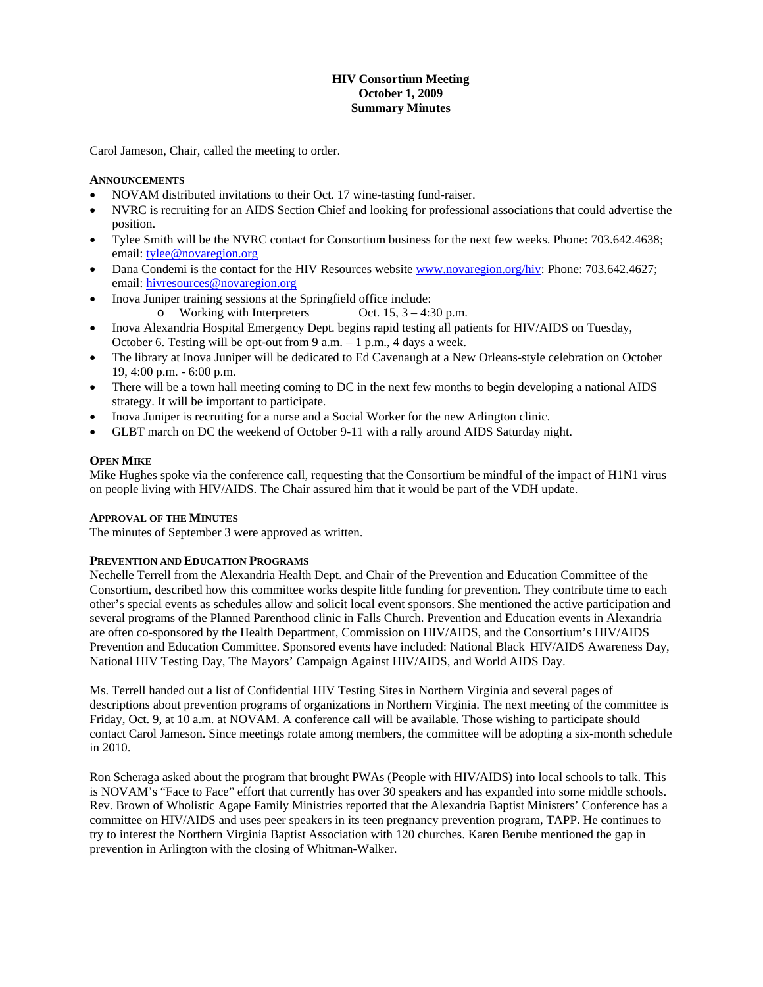# **HIV Consortium Meeting October 1, 2009 Summary Minutes**

Carol Jameson, Chair, called the meeting to order.

#### **ANNOUNCEMENTS**

- NOVAM distributed invitations to their Oct. 17 wine-tasting fund-raiser.
- NVRC is recruiting for an AIDS Section Chief and looking for professional associations that could advertise the position.
- Tylee Smith will be the NVRC contact for Consortium business for the next few weeks. Phone: 703.642.4638; email: [tylee@novaregion.org](mailto:tylee@novaregion.org)
- Dana Condemi is the contact for the HIV Resources website <www.novaregion.org/hiv>: Phone: 703.642.4627; email: [hivresources@novaregion.org](mailto:tylee@novaregion.org)
- Inova Juniper training sessions at the Springfield office include:
	- o Working with Interpreters Oct.  $15$ ,  $3 4:30$  p.m.
- Inova Alexandria Hospital Emergency Dept. begins rapid testing all patients for HIV/AIDS on Tuesday, October 6. Testing will be opt-out from 9 a.m. – 1 p.m., 4 days a week.
- The library at Inova Juniper will be dedicated to Ed Cavenaugh at a New Orleans-style celebration on October 19, 4:00 p.m. - 6:00 p.m.
- There will be a town hall meeting coming to DC in the next few months to begin developing a national AIDS strategy. It will be important to participate.
- Inova Juniper is recruiting for a nurse and a Social Worker for the new Arlington clinic.
- GLBT march on DC the weekend of October 9-11 with a rally around AIDS Saturday night.

#### **OPEN MIKE**

Mike Hughes spoke via the conference call, requesting that the Consortium be mindful of the impact of H1N1 virus on people living with HIV/AIDS. The Chair assured him that it would be part of the VDH update.

#### **APPROVAL OF THE MINUTES**

The minutes of September 3 were approved as written.

## **PREVENTION AND EDUCATION PROGRAMS**

Nechelle Terrell from the Alexandria Health Dept. and Chair of the Prevention and Education Committee of the Consortium, described how this committee works despite little funding for prevention. They contribute time to each other's special events as schedules allow and solicit local event sponsors. She mentioned the active participation and several programs of the Planned Parenthood clinic in Falls Church. Prevention and Education events in Alexandria are often co-sponsored by the Health Department, Commission on HIV/AIDS, and the Consortium's HIV/AIDS Prevention and Education Committee. Sponsored events have included: National Black HIV/AIDS Awareness Day, National HIV Testing Day, The Mayors' Campaign Against HIV/AIDS, and World AIDS Day.

Ms. Terrell handed out a list of Confidential HIV Testing Sites in Northern Virginia and several pages of descriptions about prevention programs of organizations in Northern Virginia. The next meeting of the committee is Friday, Oct. 9, at 10 a.m. at NOVAM. A conference call will be available. Those wishing to participate should contact Carol Jameson. Since meetings rotate among members, the committee will be adopting a six-month schedule in 2010.

Ron Scheraga asked about the program that brought PWAs (People with HIV/AIDS) into local schools to talk. This is NOVAM's "Face to Face" effort that currently has over 30 speakers and has expanded into some middle schools. Rev. Brown of Wholistic Agape Family Ministries reported that the Alexandria Baptist Ministers' Conference has a committee on HIV/AIDS and uses peer speakers in its teen pregnancy prevention program, TAPP. He continues to try to interest the Northern Virginia Baptist Association with 120 churches. Karen Berube mentioned the gap in prevention in Arlington with the closing of Whitman-Walker.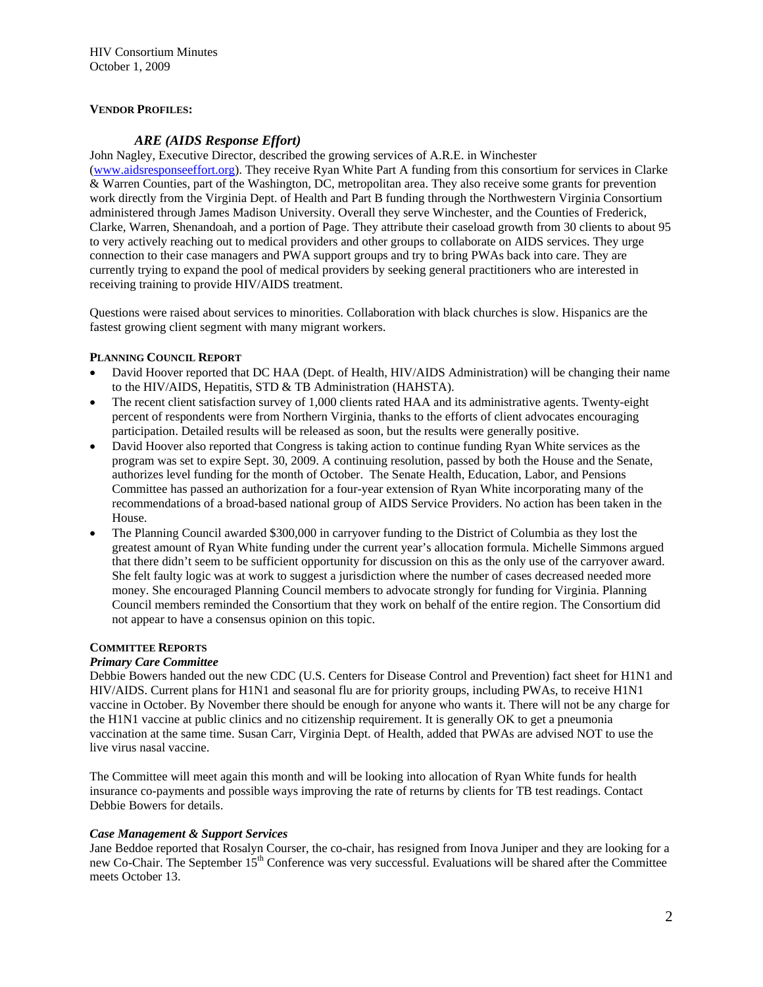# **VENDOR PROFILES:**

# *ARE (AIDS Response Effort)*

John Nagley, Executive Director, described the growing services of A.R.E. in Winchester [\(www.aidsresponseeffort.org\)](www.aidsresponseeffort.org). They receive Ryan White Part A funding from this consortium for services in Clarke & Warren Counties, part of the Washington, DC, metropolitan area. They also receive some grants for prevention work directly from the Virginia Dept. of Health and Part B funding through the Northwestern Virginia Consortium administered through James Madison University. Overall they serve Winchester, and the Counties of Frederick, Clarke, Warren, Shenandoah, and a portion of Page. They attribute their caseload growth from 30 clients to about 95 to very actively reaching out to medical providers and other groups to collaborate on AIDS services. They urge connection to their case managers and PWA support groups and try to bring PWAs back into care. They are currently trying to expand the pool of medical providers by seeking general practitioners who are interested in receiving training to provide HIV/AIDS treatment.

Questions were raised about services to minorities. Collaboration with black churches is slow. Hispanics are the fastest growing client segment with many migrant workers.

## **PLANNING COUNCIL REPORT**

- David Hoover reported that DC HAA (Dept. of Health, HIV/AIDS Administration) will be changing their name to the HIV/AIDS, Hepatitis, STD & TB Administration (HAHSTA).
- The recent client satisfaction survey of 1,000 clients rated HAA and its administrative agents. Twenty-eight percent of respondents were from Northern Virginia, thanks to the efforts of client advocates encouraging participation. Detailed results will be released as soon, but the results were generally positive.
- David Hoover also reported that Congress is taking action to continue funding Ryan White services as the program was set to expire Sept. 30, 2009. A continuing resolution, passed by both the House and the Senate, authorizes level funding for the month of October. The Senate Health, Education, Labor, and Pensions Committee has passed an authorization for a four-year extension of Ryan White incorporating many of the recommendations of a broad-based national group of AIDS Service Providers. No action has been taken in the House.
- The Planning Council awarded \$300,000 in carryover funding to the District of Columbia as they lost the greatest amount of Ryan White funding under the current year's allocation formula. Michelle Simmons argued that there didn't seem to be sufficient opportunity for discussion on this as the only use of the carryover award. She felt faulty logic was at work to suggest a jurisdiction where the number of cases decreased needed more money. She encouraged Planning Council members to advocate strongly for funding for Virginia. Planning Council members reminded the Consortium that they work on behalf of the entire region. The Consortium did not appear to have a consensus opinion on this topic.

## **COMMITTEE REPORTS**

## *Primary Care Committee*

Debbie Bowers handed out the new CDC (U.S. Centers for Disease Control and Prevention) fact sheet for H1N1 and HIV/AIDS. Current plans for H1N1 and seasonal flu are for priority groups, including PWAs, to receive H1N1 vaccine in October. By November there should be enough for anyone who wants it. There will not be any charge for the H1N1 vaccine at public clinics and no citizenship requirement. It is generally OK to get a pneumonia vaccination at the same time. Susan Carr, Virginia Dept. of Health, added that PWAs are advised NOT to use the live virus nasal vaccine.

The Committee will meet again this month and will be looking into allocation of Ryan White funds for health insurance co-payments and possible ways improving the rate of returns by clients for TB test readings. Contact Debbie Bowers for details.

## *Case Management & Support Services*

Jane Beddoe reported that Rosalyn Courser, the co-chair, has resigned from Inova Juniper and they are looking for a new Co-Chair. The September 15th Conference was very successful. Evaluations will be shared after the Committee meets October 13.